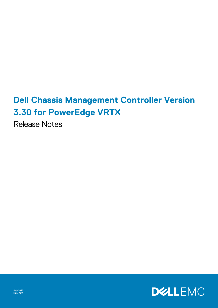# **Dell Chassis Management Controller Version 3.30 for PowerEdge VRTX**

Release Notes

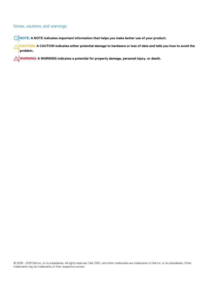#### Notes, cautions, and warnings

**NOTE: A NOTE indicates important information that helps you make better use of your product.**

**CAUTION: A CAUTION indicates either potential damage to hardware or loss of data and tells you how to avoid the problem.**

**WARNING: A WARNING indicates a potential for property damage, personal injury, or death.** 

© 2008 - 2019 Dell Inc. or its subsidiaries. All rights reserved. Dell, EMC, and other trademarks are trademarks of Dell Inc. or its subsidiaries. Other trademarks may be trademarks of their respective owners.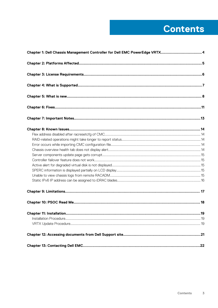# **Contents**

| Chapter 1: Dell Chassis Management Controller for Dell EMC PowerEdge VRTX 4 |     |
|-----------------------------------------------------------------------------|-----|
|                                                                             |     |
|                                                                             |     |
|                                                                             |     |
|                                                                             |     |
|                                                                             |     |
|                                                                             |     |
|                                                                             |     |
|                                                                             |     |
|                                                                             |     |
|                                                                             |     |
|                                                                             |     |
|                                                                             |     |
|                                                                             |     |
|                                                                             |     |
|                                                                             |     |
|                                                                             |     |
|                                                                             |     |
|                                                                             |     |
|                                                                             |     |
| <b>Chapter 11: Installation.</b>                                            | .19 |
|                                                                             |     |
|                                                                             |     |
|                                                                             |     |
|                                                                             |     |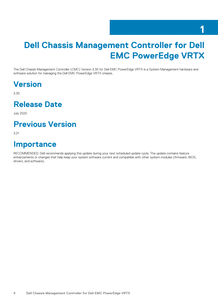#### **1**

# <span id="page-3-0"></span>**Dell Chassis Management Controller for Dell EMC PowerEdge VRTX**

The Dell Chassis Management Controller (CMC) Version 3.30 for Dell EMC PowerEdge VRTX is a System Management hardware and software solution for managing the Dell EMC PowerEdge VRTX chassis.

### **Version**

3.30

#### **Release Date**

July 2020

#### **Previous Version**

3.21

#### **Importance**

RECOMMENDED: Dell recommends applying this update during your next scheduled update cycle. The update contains feature enhancements or changes that help keep your system software current and compatible with other system modules (firmware, BIOS, drivers, and software).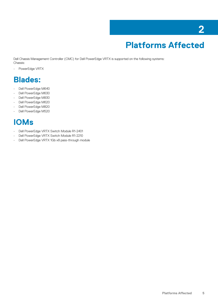# **Platforms Affected**

<span id="page-4-0"></span>Dell Chassis Management Controller (CMC) for Dell PowerEdge VRTX is supported on the following systems: Chassis:

• PowerEdge VRTX

#### **Blades:**

- Dell PowerEdge M640
- Dell PowerEdge M630
- Dell PowerEdge M830
- Dell PowerEdge M620
- Dell PowerEdge M820
- Dell PowerEdge M520

### **IOMs**

- Dell PowerEdge VRTX Switch Module R1-2401
- Dell PowerEdge VRTX Switch Module R1-2210
- Dell PowerEdge VRTX 1Gb x8 pass-through module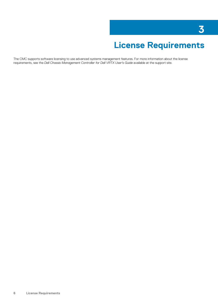# **License Requirements**

<span id="page-5-0"></span>The CMC supports software licensing to use advanced systems management features. For more information about the license requirements, see the *Dell Chassis Management Controller for Dell VRTX User's Guide* available at the support site.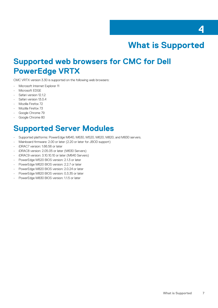

#### **What is Supported**

#### <span id="page-6-0"></span>**Supported web browsers for CMC for Dell PowerEdge VRTX**

CMC VRTX version 3.30 is supported on the following web browsers:

- Microsoft Internet Explorer 11
- Microsoft EDGE
- Safari version 12.1.2
- Safari version 13.0.4
- Mozilla Firefox 72
- Mozilla Firefox 73
- Google Chrome 79
- Google Chrome 80

#### **Supported Server Modules**

- Supported platforms: PowerEdge M640, M630, M520, M620, M820, and M830 servers.
- Mainboard firmware: 2.00 or later (2.20 or later for JBOD support)
- iDRAC7 version: 1.66.56 or later
- iDRAC8 version: 2.05.05 or later (M630 Servers)
- iDRAC9 version: 3.10.10.10 or later (M640 Servers)
- PowerEdge M520 BIOS version: 2.1.3 or later
- PowerEdge M620 BIOS version: 2.2.7 or later
- PowerEdge M820 BIOS version: 2.0.24 or later
- PowerEdge M820 BIOS version: 0.3.35 or later
- PowerEdge M830 BIOS version: 1.1.5 or later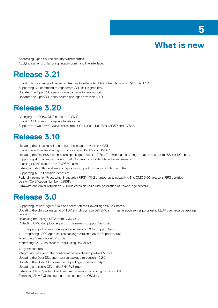# **5**



- <span id="page-7-0"></span>Addressing Open Source security vulnerabilities.
- Applying server profiles using racadm command line interface.

### **Release 3.21**

- Enabling force change of password feature to adhere to SB-327 Regulations of California, USA.
- Supporting CLI command to regenerate SSH self-signed key.
- Updated the OpenSSH open-source package to version 7.9p1.
- Updated the OpenSSL open-source package to version 1.0.2r.

#### **Release 3.20**

- Changing the iDRAC DNS name from CMC.
- Enabling CLI prompt to display chassis name.
- Support for two new COMMs cards Intel 10Gb NICs -- Dell P/N C4D5P and 4V7G2.

#### **Release 3.10**

- Updating the Linux kernel open-source package to version 4.9.31.
- Enabling windows file sharing protocol version SMBv2 and SMBv3.
- Updating the OpenSSH open-source package to version 7.6p1. The minimum key length that is required for SSH is 1024 bits.
- Supporting slot names with a length of 24 characters to identify individual servers.
- Enabling SNMP trap for the TMP8501 alert.
- Extending fabric flex address configuration support in chassis profile . xml file.
- Supporting 128-bit session identifiers.
- Federal Information Processing Standards (FIPS) 140-2 cryptography capability. The CMC 3.00 release is FIPS certified version(Certification Number: #2861).
- Firmware and driver refresh of COMMs cards on Dell's 14th generation of PowerEdge servers.

#### **Release 3.0**

- Supporting PowerEdge M640 blade server on the PowerEdge VRTX Chassis.
- Updating the physical mapping of TOR switch ports to Dell EMC's 14th generation server ports using LLDP open-source package version 0.7.7.
- Unlocking the foreign SEDs from CMC GUI.
- Collecting CMC dumplogs as part of the server's SupportAssist tab.
- Integrating ZIP open-source package version 3.0 for SupportAssist.
- o Integrating LSOF open-source package version 4.86 for SupportAssist.
- Monitoring "wear gauge" of SSDs.
- Monitoring CMC Fan sensors PWM using RACADM:
- getsensorinfo
- Integrating the event filter configurations on chassis profile XML file.
- Updating the OpenSSL open-source package to version 1.0.2K.
- Updating the OpenSSH open-source package to version 7.4p1.
- Updating enterprise OID in the SNMPv3 trap.
- Extending SNMP protocol and custom discovery port configuration in GUI.
- Extending SNMPv3 trap configuration support in WSMan.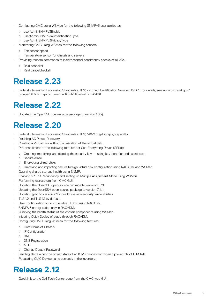- Configuring CMC using WSMan for the following SNMPv3 user attributes:
	- userAdminSNMPv3Enable
	- userAdminSNMPv3AuthenticationType
	- userAdminSNMPv3PrivacyType
- Monitoring CMC using WSMan for the following sensors:
	- Fan sensor speed
	- Temperature sensor for chassis and servers
- Providing racadm commands to initiate/cancel consistency checks of all VDs:
	- Raid ccheckall
	- Raid cancelcheckall

#### **Release 2.23**

• Federal Information Processing Standards (FIPS) certified. Certification Number: #2861. For details, see www.csrc.nist.gov/ groups/STM/cmvp/documents/140-1/140val-all.htm#2861

#### **Release 2.22**

Updated the OpenSSL open-source package to version 1.0.2j.

#### **Release 2.20**

- Federal Information Processing Standards (FIPS) 140-2 cryptography capability.
- Disabling AC Power Recovery.
- Creating a Virtual Disk without initialization of the virtual disk.
- Pre-enablement of the following features for Self-Encrypting Drives (SEDs):
	- Creating, modifying, and deleting the security key using key identifier and passphrase
	- Secure erase
	- Encrypting virtual disks
- Unlocking and importing secure foreign virtual disk configuration using RACADM and WSMan
- Querying shared storage health using SNMP.
- Enabling sPERC Redundancy and setting up Multiple Assignment Mode using WSMan.
- Performing racresetcfg from CMC GUI.
- Updating the OpenSSL open-source package to version 1.0.2f.
- Updating the OpenSSH open-source package to version 7.1p1.
- Updating glibc to version 2.23 to address new security vulnerabilities.
- TLS 1.2 and TLS 1.1 by default.
- User configuration option to enable TLS 1.0 using RACADM.
- SNMPv3 configuration only in RACADM.
- Querying the health status of the chassis components using WSMan.
- Initiating Quick Deploy of blade through RACADM.
- Configuring CMC using WSMan for the following features:
	- Host Name of Chassis
	- IP Configuration
	- DNS
	- DNS Registration
	- NTP
- Change Default Password
- Sending alerts when the power state of an IOM changes and when a power ON of IOM fails.
- Populating CMC Device name correctly in the inventory.

#### **Release 2.12**

• Quick link to the Dell Tech Center page from the CMC web GUI.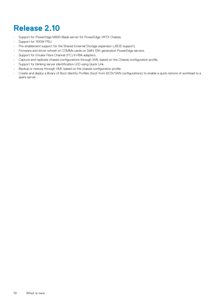### **Release 2.10**

- Support for PowerEdge M830 Blade server for PowerEdge VRTX Chassis.
- Support for 1100W PSU.
- Pre-enablement support for the Shared External Storage expansion (JBOD support).
- Firmware and driver refresh of COMMs cards on Dell's 13th generation PowerEdge servers.
- Support for Emulex Fibre Channel (FC) 8 HBA adapters.
- Capture and replicate chassis configurations through XML based on the Chassis configuration profile.
- Support for blinking server identification LED using Quick Link.
- Backup or restore through XML based on the chassis configuration profile.
- Create and deploy a library of Boot Identity Profiles (boot from iSCSI/SAN configurations) to enable a quick restore of workload to a spare server.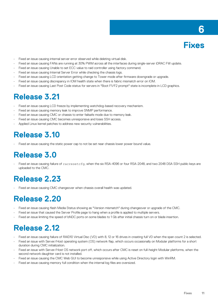

- <span id="page-10-0"></span>Fixed an issue causing internal server error observed while deleting virtual disk.
- Fixed an issue causing FANs are running at 30% PWM across all the interfaces during single-server iDRAC FW update.
- Fixed an issue causing Unable to set ECC value to raid controller using factory command.
- Fixed an issue causing Internal Server Error while checking the chassis logs.
- Fixed an issue causing LCD orientation getting change to Tower mode after firmware downgrade or upgrade.
- Fixed an issue causing discrepancy in IOM health state when there is fabric mismatch error on IOM.
- Fixed an issue causing Last Post Code status for servers in "Boot F1/F2 prompt" state is incomplete in LCD graphics.

#### **Release 3.21**

- Fixed an issue causing LCD freeze by implementing watchdog-based recovery mechanism.
- Fixed an issue causing memory leak to improve SNMP performance.
- Fixed an issue causing CMC or chassis to enter failsafe mode due to memory leak.
- Fixed an issue causing CMC becomes unresponsive and loses SSH access.
- Applied Linux kernel patches to address new security vulnerabilities.

#### **Release 3.10**

• Fixed an issue causing the static power cap to not be set near chassis lower power bound value.

#### **Release 3.0**

• Fixed an issue causing failure of racresetcfg, when the six RSA-4096 or four RSA-2048, and two 2048 DSA SSH public keys are uploaded to the CMC.

#### **Release 2.23**

Fixed an issue causing CMC changeover when chassis overall health was updated.

#### **Release 2.20**

- Fixed an issue causing flash Media Status showing as "Version mismatch" during changeover or upgrade of the CMC.
- Fixed an issue that caused the Server Profile page to hang when a profile is applied to multiple servers.
- Fixed an issue limiting the speed of bNDC ports on some blades to 1 Gb after initial chassis turn on or blade insertion.

#### **Release 2.12**

- Fixed an issue causing failure of RAID10 Virtual Disc (VD) with 8, 12 or 16 drives in creating full VD when the span count 2 is selected.
- Fixed an issue with Server/Host operating system (OS) network flap, which occurs occasionally on Modular platforms for a short duration during CMC initialization.
- Fixed an issue with Server/Host OS network port off, which occurs after CMC is reset on full-height Modular platforms, when the second network daughter card is not installed.
- Fixed an issue causing the CMC Web GUI to become unresponsive while using Active Directory login with WinRM.
- Fixed an issue causing memory full condition when the internal log files are oversized.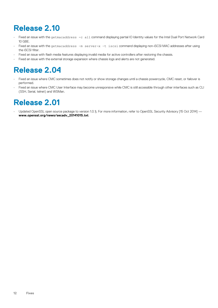### **Release 2.10**

- Fixed an issue with the getmacaddress -c all command displaying partial IO Identity values for the Intel Dual Port Network Card 10 GBE.
- Fixed an issue with the getmacaddress –m server-x –t iscsi command displaying non-iSCSI MAC addresses after using the iSCSI filter.
- Fixed an issue with flash media features displaying invalid media for active controllers after restoring the chassis.
- Fixed an issue with the external storage expansion where chassis logs and alerts are not generated.

#### **Release 2.04**

- Fixed an issue where CMC sometimes does not notify or show storage changes until a chassis powercycle, CMC reset, or failover is performed.
- Fixed an issue where CMC User Interface may become unresponsive while CMC is still accessible through other interfaces such as CLI (SSH, Serial, telnet) and WSMan.

#### **Release 2.01**

Updated OpenSSL open source package to version 1.0.1j. For more information, refer to OpenSSL Security Advisory [15 Oct 2014] **www.openssl.org/news/secadv\_20141015.txt**.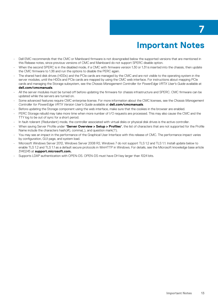# **Important Notes**

- <span id="page-12-0"></span>• Dell EMC recommends that the CMC or Mainboard firmware is not downgraded below the supported versions that are mentioned in this Release notes, since previous versions of CMC and Mainboard do not support SPERC disable option.
- When the second SPERC is in the disabled mode, if a CMC with firmware version 1.30 or 1.31 is inserted into the chassis, then update the CMC firmware to 1.36 and run the options to disable the PERC again.
- The shared hard disk drives (HDDs) and the PCIe cards are managed by the CMC and are not visible to the operating system in the server modules, until the HDDs and PCIe cards are mapped by using the CMC web interface. For instructions about mapping PCIe cards and managing the Storage subsystem, see the *Chassis Management Controller for PowerEdge VRTX User's Guide* available at **dell.com/cmcmanuals**.
- All the server modules must be turned off before updating the firmware for chassis infrastructure and SPERC. CMC firmware can be updated while the servers are turned on.
- Some advanced features require CMC enterprise license. For more information about the CMC licenses, see the *Chassis Management Controller for PowerEdge VRTX Version User's Guide* available at **dell.com/cmcmanuals**.
- Before updating the Storage component using the web interface, make sure that the cookies in the browser are enabled.
- PERC Storage rebuild may take more time when more number of I/O requests are processed. This may also cause the CMC and the TTY log to be out of sync for a short period.
- In fault-tolerant (Redundant) mode, the controller associated with virtual disks or physical disk drives is the active controller.
- When saving Server Profile under "**Server Overview > Setup > Profiles**", the list of characters that are not supported for the Profile Name include the characters hash $(H)$ , comma $($ ,), and question mark $(?)$ .
- You may see an impact in the performance of the Graphical User Interface with this release of CMC. The performance impact varies by configuration, GUI page, and system load.
- Microsoft Windows Server 2012, Windows Server 2008 R2, Windows 7 do not support TLS 1.2 and TLS 1.1. Install update below to enable TLS 1.2 and TLS 1.1 as a default secure protocols in WinHTTP in Windows. For details, see the Microsoft knowledge base article 3140245 at **support.microsoft.com.**
- Supports LDAP authentication with OPEN-DS. OPEN-DS must have DH key larger than 1024 bits.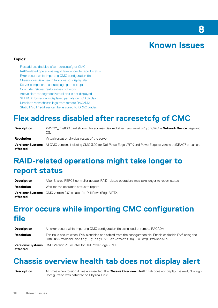#### **Known Issues**

**8**

#### <span id="page-13-0"></span>**Topics:**

- Flex address disabled after racresetcfg of CMC
- RAID-related operations might take longer to report status
- Error occurs while importing CMC configuration file
- Chassis overview health tab does not display alert
- [Server components update page gets corrupt](#page-14-0)
- [Controller failover feature does not work](#page-14-0)
- [Active alert for degraded virtual disk is not displayed](#page-14-0)
- [SPERC information is displayed partially on LCD display](#page-14-0)
- [Unable to view chassis logs from remote RACADM](#page-14-0)
- [Static IPv6 IP address can be assigned to iDRAC blades](#page-15-0)

#### **Flex address disabled after racresetcfg of CMC**

| <b>Description</b> | XWKGY_Intel10G card shows Flex address disabled after racresetcfg of CMC in <b>Network Device</b> page and<br>OS.                 |
|--------------------|-----------------------------------------------------------------------------------------------------------------------------------|
| Resolution         | Virtual reseat or physical reseat of the server                                                                                   |
| affected           | <b>Versions/Systems</b> All CMC versions including CMC 3.20 for Dell PowerEdge VRTX and PowerEdge servers with iDRAC7 or earlier. |

#### **RAID-related operations might take longer to report status**

| <b>Description</b> | After Shared PERC8 controller update, RAID-related operations may take longer to report status. |
|--------------------|-------------------------------------------------------------------------------------------------|
| Resolution         | Wait for the operation status to report.                                                        |
| affected           | <b>Versions/Systems</b> CMC version 2.01 or later for Dell PowerEdge VRTX.                      |

### **Error occurs while importing CMC configuration file**

| <b>Description</b> | An error occurs while importing CMC configuration file using local or remote RACADM.                                                                                                   |  |
|--------------------|----------------------------------------------------------------------------------------------------------------------------------------------------------------------------------------|--|
| Resolution         | This issue occurs when IPv6 is enabled or disabled from the configuration file. Enable or disable IPv6 using the<br>command, racadm config -g cfgIPv6LanNetworking -o cfgIPv6Enable 0. |  |
| affected           | <b>Versions/Systems</b> CMC Version 2.0 or later for Dell PowerEdge VRTX                                                                                                               |  |

#### **Chassis overview health tab does not display alert**

**Description** At times when foreign drives are inserted, the **Chassis Overview Health** tab does not display the alert, "Foreign Configuration was detected on Physical Disk".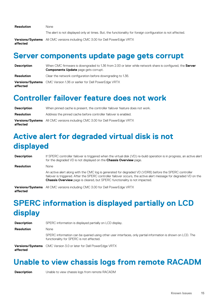<span id="page-14-0"></span>**Resolution** None

The alert is not displayed only at times. But, the functionality for foreign configuration is not affected.

**Versions/Systems** All CMC versions including CMC 3.00 for Dell PowerEdge VRTX **affected**

#### **Server components update page gets corrupt**

| <b>Description</b> | When CMC firmware is downgraded to 1.36 from 2.00 or later while network share is configured, the Server<br><b>Components Update</b> page gets corrupt. |
|--------------------|---------------------------------------------------------------------------------------------------------------------------------------------------------|
| Resolution         | Clear the network configuration before downgrading to 1.36.                                                                                             |
| affected           | <b>Versions/Systems</b> CMC Version 1.36 or earlier for Dell PowerEdge VRTX                                                                             |

#### **Controller failover feature does not work**

| <b>Description</b> | When pinned cache is present, the controller failover feature does not work.        |
|--------------------|-------------------------------------------------------------------------------------|
| Resolution         | Address the pinned cache before controller failover is enabled.                     |
| affected           | <b>Versions/Systems</b> All CMC versions including CMC 3.00 for Dell PowerEdge VRTX |

# **Active alert for degraded virtual disk is not displayed**

| <b>Description</b> | If SPERC controller failover is triggered when the virtual disk (VD) re-build operation is in progress, an active alert<br>for the degraded VD is not displayed on the <b>Chassis Overview</b> page.                                                                                                              |
|--------------------|-------------------------------------------------------------------------------------------------------------------------------------------------------------------------------------------------------------------------------------------------------------------------------------------------------------------|
| <b>Resolution</b>  | <b>None</b>                                                                                                                                                                                                                                                                                                       |
|                    | An active alert along with the CMC log is generated for degraded VD (VDR8) before the SPERC controller<br>failover is triggered. After the SPERC controller failover occurs, the active alert message for degraded VD on the<br><b>Chassis Overview</b> page is cleared, but SPERC functionality is not impacted. |
| affected           | Versions/Systems All CMC versions including CMC 3.00 for Dell PowerEdge VRTX                                                                                                                                                                                                                                      |

# **SPERC information is displayed partially on LCD display**

| <b>Description</b> | SPERC information is displayed partially on LCD display.                                                                                                |  |
|--------------------|---------------------------------------------------------------------------------------------------------------------------------------------------------|--|
| <b>Resolution</b>  | None                                                                                                                                                    |  |
|                    | SPERC information can be queried using other user interfaces, only partial information is shown on LCD. The<br>functionality for SPERC is not affected. |  |
| affected           | <b>Versions/Systems</b> CMC Version 3.0 or later for Dell PowerEdge VRTX                                                                                |  |

#### **Unable to view chassis logs from remote RACADM**

**Description** Unable to view chassis logs from remote RACADM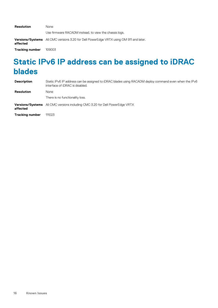<span id="page-15-0"></span>

| Resolution             | <b>None</b>                                                                                   |  |
|------------------------|-----------------------------------------------------------------------------------------------|--|
|                        | Use firmware RACADM instead, to view the chassis logs.                                        |  |
| affected               | <b>Versions/Systems</b> All CMC versions 3.20 for Dell PowerEdge VRTX using OM 911 and later. |  |
| <b>Tracking number</b> | 109003                                                                                        |  |

### **Static IPv6 IP address can be assigned to iDRAC blades**

| <b>Description</b>     | Static IPv6 IP address can be assigned to iDRAC blades using RACADM deploy command even when the IPv6<br>interface of iDRAC is disabled. |
|------------------------|------------------------------------------------------------------------------------------------------------------------------------------|
| <b>Resolution</b>      | <b>None</b>                                                                                                                              |
|                        | There is no functionality loss.                                                                                                          |
| affected               | <b>Versions/Systems</b> All CMC versions including CMC 3.20 for Dell PowerEdge VRTX                                                      |
| <b>Tracking number</b> | 111023                                                                                                                                   |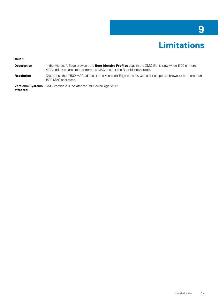# **Limitations**

**9**

#### <span id="page-16-0"></span>**Issue 1**

| <b>Description</b> | In the Microsoft Edge browser, the <b>Boot Identity Profiles</b> page in the CMC GUI is slow when 1500 or more<br>MAC addresses are created from the MAC pool for the Boot Identity profile. |
|--------------------|----------------------------------------------------------------------------------------------------------------------------------------------------------------------------------------------|
| Resolution         | Create less than 1500 MAC address in the Microsoft Edge browser. Use other supported browsers for more than<br>1500 MAC addresses.                                                           |
|                    | <b>Versions/Systems</b> CMC Version 2.20 or later for Dell PowerEdge VRTX                                                                                                                    |

**Versions/Systems** CMC Version 2.20 or later for Dell PowerEdge VRTX **affected**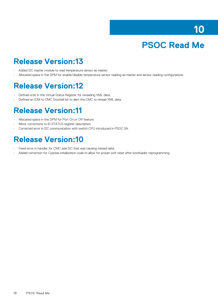# **PSOC Read Me**

#### <span id="page-17-0"></span>**Release Version:13**

- Added I2C master module to read temperature sensor as master.
- Allocated space in the DPM for enable/disable temperature sensor reading as master and sensor reading configurations.

#### **Release Version:12**

- Defined a bit in the Virtual Status Register for rereading XML data.
- Defined an IOM to CMC Doorbell bit to alert the CMC to reread XML data.

#### **Release Version:11**

- Allocated space in the DPM for Port On or Off feature.
- Minor corrections to ID STATUS register description.
- Corrected error in I2C communication with switch CPU introduced in PSOC 0A.

#### **Release Version:10**

- Fixed error in handler for CMC side I2C that was causing missed data.
- Added correction for Cypress initialization code to allow for proper soft reset after bootloader reprogramming.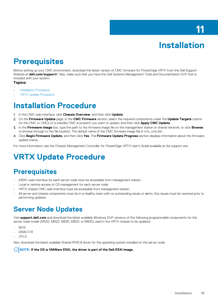# **Installation**

#### <span id="page-18-0"></span>**Prerequisites**

Before setting up your CMC environment, download the latest version of CMC firmware for PowerEdge VRTX from the Dell Support Website at **dell.com/support/**. Also, make sure that you have the Dell Systems Management Tools and Documentation DVD that is included with your system.

#### **Topics:**

- **Installation Procedure**
- VRTX Update Procedure

#### **Installation Procedure**

- 1. In the CMC web interface, click **Chassis Overview**, and then click **Update**.
- 2. On the **Firmware Update** page, in the **CMC Firmware** section, select the required components under the **Update Targets** column for the CMC or CMCs (if a standby CMC is present) you want to update, and then click **Apply CMC Update**.
- 3. In the **Firmware Image** box, type the path to the firmware image file on the management station or shared network, or click **Browse** to browse through to the file location. The default name of the CMC firmware image file is vrtx\_cmc.bin.
- 4. Click **Begin Firmware Update**, and then click **Yes**. The **Firmware Update Progress** section displays information about the firmware update status.

For more information, see the *Chassis Management Controller for PowerEdge VRTX User's Guide* available at the support site.

#### **VRTX Update Procedure**

#### **Prerequisites**

- iDRAC web interface for each server node must be accessible from management station.
- Local or remote access to OS management for each server node
- VRTX chassis CMC web interface must be accessible from management station.
- All server and chassis components must be in a Healthy state with no outstanding issues or alerts. Any issues must be resolved prior to performing updates.

#### **Server Node Updates**

Visit **support.dell.com** and download the latest available Windows DUP versions of the following programmable components for the server node model (M520, M620, M630, M820, or M830) used in the VRTX chassis to be updated:

- BIOS
- iDRAC7/8
- CPLD

Also, download the latest available Shared PERC8 driver for the operating system installed on the server node.

**NOTE: If the OS is VMWare ESXi, the driver is part of the Dell ESXi image.**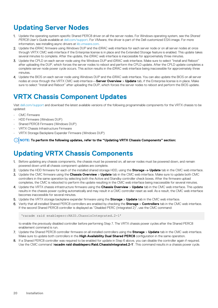#### **Updating Server Nodes**

- 1. Update the operating system-specific Shared PERC8 driver on all the server nodes. For Windows operating system, see the *Shared PERC8 User's Guide* available at [dell.com/support.](https://www.dell.com/support/home/us/en/04) For VMware, the driver is part of the Dell-customized ESXi image. For more information, see installing async drivers at [kb.vmware.com.](https://kb.vmware.com/s/)
- 2. Update the iDRAC firmware using Windows DUP and the iDRAC web interface for each server node or on all server nodes at once through VRTX CMC web interface if the Enterprise license is in place and the Extended Storage feature is enabled. This update takes several minutes to complete. After the update, the iDRAC web interface is inaccessible for approximately three minutes.
- 3. Update the CPLD on each server node using the Windows DUP and iDRAC web interface. Make sure to select "Install and Reboot" after uploading the DUP, which forces the server nodes to reboot and perform the CPLD update. After the CPLD update completes a complete server node power cycle occurs. This action results in the iDRAC web interface being inaccessible for approximately three minutes.
- 4. Update the BIOS on each server node using Windows DUP and the iDRAC web interface. You can also update the BIOS on all server nodes at once through the VRTX CMC web interface—**Server Overview** > **Update** tab, if the Enterprise license is in place. Make sure to select "Install and Reboot" after uploading the DUP, which forces the server nodes to reboot and perform the BIOS update.

#### **VRTX Chassis Component Updates**

Visit [dell.com/support](https://www.dell.com/support/home/us/en/04) and download the latest available versions of the following programmable components for the VRTX chassis to be updated:

- CMC Firmware
- HDD Firmware (Windows DUP)
- Shared PERC8 Firmware (Windows DUP)
- VRTX Chassis Infrastructure Firmware
- VRTX Storage Backplane Expander Firmware (Windows DUP)

**NOTE: To perform the following updates, refer to the "Updating VRTX Chassis Components" section:**  $(i)$ 

#### **Updating VRTX Chassis Components**

- 1. Before updating any chassis components, the chassis must be powered on, all server nodes must be powered down, and remain powered down until all chassis component updates are complete.
- 2. Update the HDD firmware for each of the installed shared storage HDD, using the **Storage -> Update** tab in the CMC web interface.
- 3. Update the CMC firmware using the **Chassis Overview** > **Update** tab in the CMC web interface. Make sure to update both CMC controllers in the same operation by selecting both the Active and Standby controller check boxes. After the firmware upload completes, the CMC is rebooted to perform the update resulting in the CMC web interface being inaccessible for several minutes.
- 4. Update the VRTX chassis infrastructure firmware using the **Chassis Overview** > **Update** tab in the CMC web interface. This update results in the chassis power cycling automatically and may result in a CMC controller reset as well. As e result, the CMC web interface becomes inaccessible for several minutes.
- 5. Update the VRTX storage backplane expander firmware using the **Storage** > **Update** tab in the CMC web interface.
- 6. Verify that all installed Shared PERC8 controllers are enabled by checking the **Storage** > **Controllers** tab in the CMC web interface. If the second Shared PERC8 controller is displayed as "Disabled PERC (Integrated 2)", use the CMC command:

'racadm raid enableperc:RAID.ChassisIntegrated.2-1'

to enable the previously disabled controller before performing Step 7. The VRTX chassis power cycles after the Shared PERC8 enablement command is run.

- 7. Update the Shared PERC8 controller firmware on all installed controllers using the **Storage** > **Update** tab in the CMC web interface. Make sure to update both controllers in the **High Availability Dual Shared PERC8** configuration in the same operation.
- 8. If a Shared PERC8 controller was required to be enabled for update in Step 6 above, you can disable the controller again if required. Use the CMC command '**racadm raid disableperc:Raid.ChassisIntegrated.2-1**'. This command results in a chassis power cycle.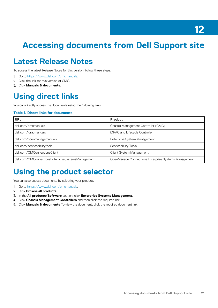# <span id="page-20-0"></span>**Accessing documents from Dell Support site**

#### **Latest Release Notes**

To access the latest Release Notes for this version, follow these steps:

- 1. Go to [https://www.dell.com/cmcmanuals.](https://www.dell.com/cmcmanuals)
- 2. Click the link for this version of CMC.
- 3. Click **Manuals & documents**.

#### **Using direct links**

You can directly access the documents using the following links:

#### **Table 1. Direct links for documents**

| <b>URL</b>                                        | Product                                              |
|---------------------------------------------------|------------------------------------------------------|
| dell.com/cmcmanuals                               | Chassis Management Controller (CMC)                  |
| dell.com/idracmanuals                             | iDRAC and Lifecycle Controller                       |
| dell.com/openmanagemanuals                        | Enterprise System Management                         |
| dell.com/serviceabilitytools                      | Serviceability Tools                                 |
| dell.com/OMConnectionsClient                      | Client System Management                             |
| dell.com/OMConnectionsEnterpriseSystemsManagement | OpenManage Connections Enterprise Systems Management |

#### **Using the product selector**

You can also access documents by selecting your product.

- 1. Go to [https://www.dell.com/cmcmanuals.](https://www.dell.com/cmcmanuals)
- 2. Click **Browse all products**.
- 3. In the **All products/Software** section, click **Enterprise Systems Management**.
- 4. Click **Chassis Management Controllers** and then click the required link.
- 5. Click **Manuals & documents** To view the document, click the required document link.